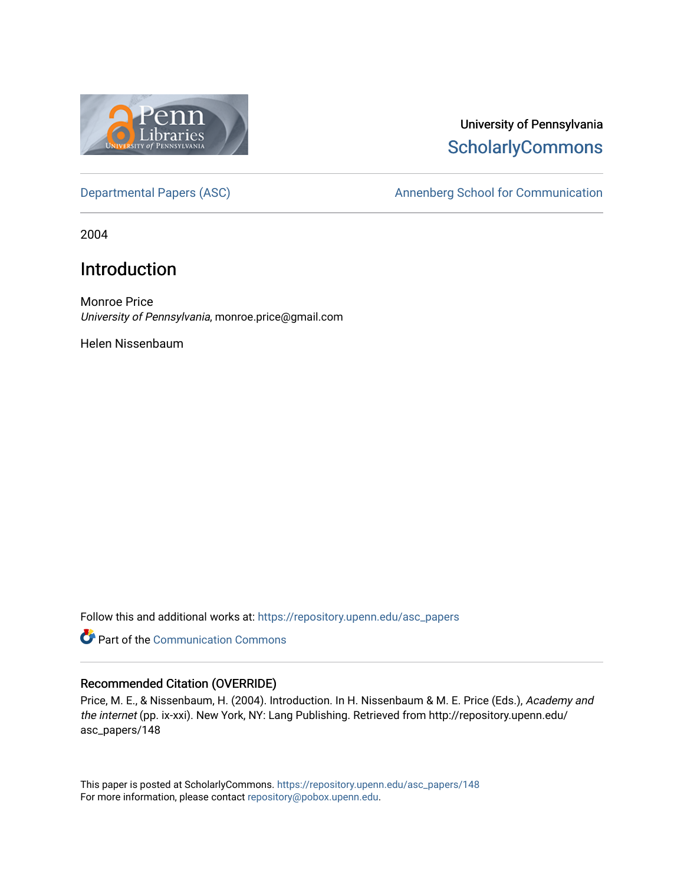

# University of Pennsylvania **ScholarlyCommons**

[Departmental Papers \(ASC\)](https://repository.upenn.edu/asc_papers) and a number of Annenberg School for Communication

2004

# Introduction

Monroe Price University of Pennsylvania, monroe.price@gmail.com

Helen Nissenbaum

Follow this and additional works at: [https://repository.upenn.edu/asc\\_papers](https://repository.upenn.edu/asc_papers?utm_source=repository.upenn.edu%2Fasc_papers%2F148&utm_medium=PDF&utm_campaign=PDFCoverPages)

Part of the [Communication Commons](http://network.bepress.com/hgg/discipline/325?utm_source=repository.upenn.edu%2Fasc_papers%2F148&utm_medium=PDF&utm_campaign=PDFCoverPages) 

### Recommended Citation (OVERRIDE)

Price, M. E., & Nissenbaum, H. (2004). Introduction. In H. Nissenbaum & M. E. Price (Eds.), Academy and the internet (pp. ix-xxi). New York, NY: Lang Publishing. Retrieved from http://repository.upenn.edu/ asc\_papers/148

This paper is posted at ScholarlyCommons. [https://repository.upenn.edu/asc\\_papers/148](https://repository.upenn.edu/asc_papers/148)  For more information, please contact [repository@pobox.upenn.edu.](mailto:repository@pobox.upenn.edu)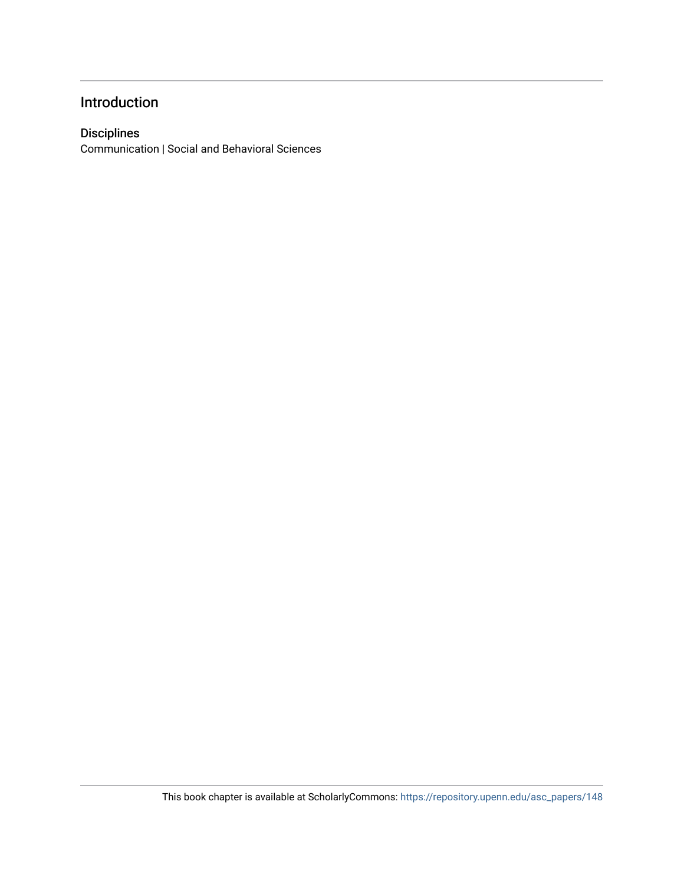## Introduction

### Disciplines

Communication | Social and Behavioral Sciences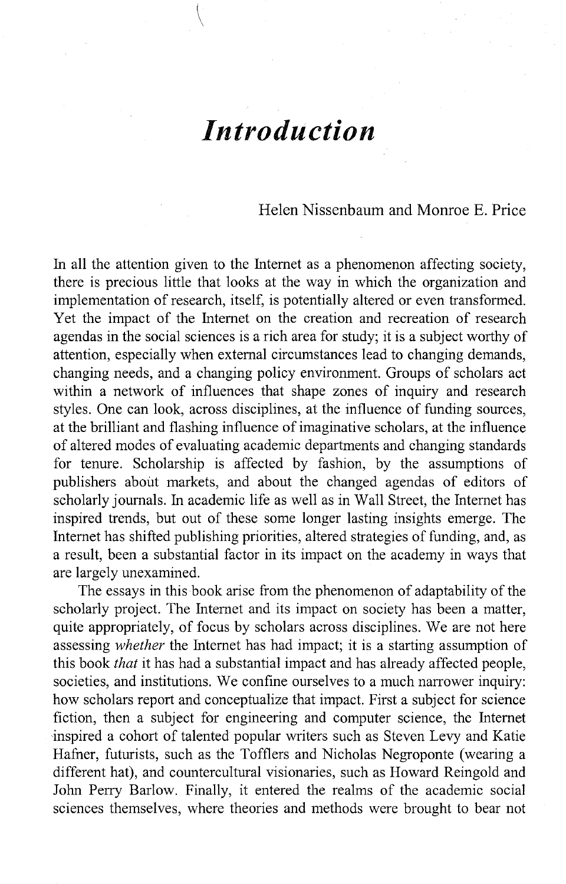# *Introduction*

### Helen Nissenbaum and Momoe E. Price

In all the attention given to the Internet as a phenomenon affecting society, there is precious little that looks at the way in which the organization and implementation of research, itself, is potentially altered or even transformed. Yet the impact of the Internet on the creation and recreation of research agendas in the social sciences is a rich area for study; it is a subject worthy of attention, especially when external circumstances lead to changing demands, changing needs, and a changing policy environment. Groups of scholars act within a network of influences that shape zones of inquiry and research styles. One can look, across disciplines, at the influence of funding sources, at the brilliant and flashing influence of imaginative scholars, at the influence of altered modes of evaluating academic departments and changing standards for tenure. Scholarship is affected by fashion, by the assumptions of publishers about markets, and about the changed agendas of editors of scholarly journals. In academic life as well as in Wall Street, the Internet has inspired trends, but out of these some longer lasting insights emerge. The Internet has shifted publishing priorities, altered strategies of funding, and, as a result, been a substantial factor in its impact on the academy in ways that are largely unexamined.

The essays in this book arise from the phenomenon of adaptability of the scholarly project. The Internet and its impact on society has been a matter, quite appropriately, of focus by scholars across disciplines. We are not here assessing *whether* the Internet has had impact; it is a starting assumption of this book *that* it has had a substantial impact and has already affected people, societies, and institutions. We confine ourselves to a much narrower inquiry: how scholars report and conceptualize that impact. First a subject for science fiction, then a subject for engineering and computer science, the Internet inspired a cohort of talented popular writers such as Steven Levy and Katie Hafner, futurists, such as the Tofflers and Nicholas Negroponte (wearing a different hat), and countercultural visionaries, such as Howard Reingold and John Perry Barlow. Finally, it entered the realms of the academic social sciences themselves, where theories and methods were brought to bear not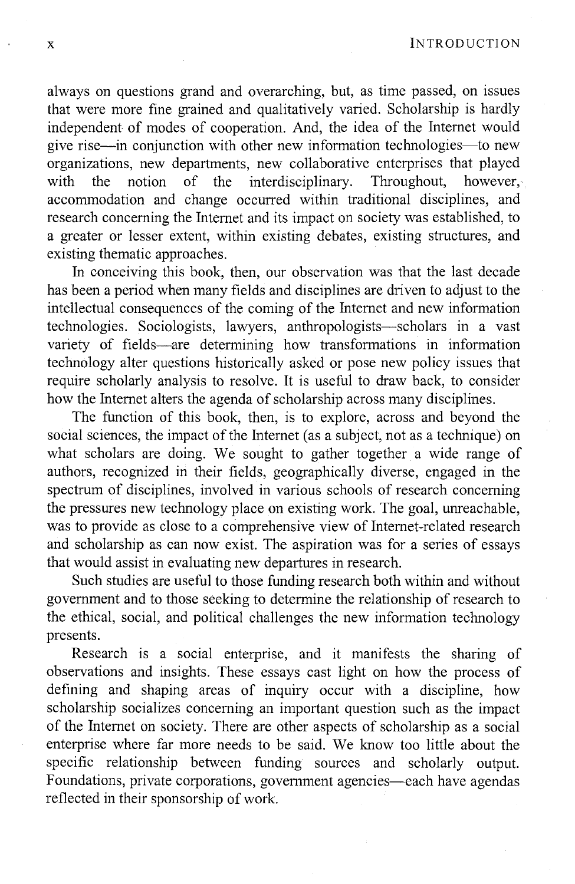x INTRODUCTION

always on questions grand and overarching, but, as time passed, on issues that were more fine grained and qualitatively varied. Scholarship is hardly independent of modes of cooperation. And, the idea of the Internet would give rise-in conjunction with other new information technologies-to new organizations, new departments, new collaborative enterprises that played with the notion of the interdisciplinary. Throughout, however, accommodation and change occurred within traditional disciplines, and research concerning the Internet and its impact on society was established, to a greater or lesser extent, within existing debates, existing structures, and existing thematic approaches.

In conceiving this book, then, our observation was that the last decade has been a period when many fields and disciplines are driven to adjust to the intellectual consequences of the coming of the Internet and new information technologies. Sociologists, lawyers, anthropologists-scholars in a vast variety of fields-are determining how transformations in information technology alter questions historically asked or pose new policy issues that require scholarly analysis to resolve. It is useful to draw back, to consider how the Internet alters the agenda of scholarship across many disciplines.

The function of this book, then, is to explore, across and beyond the social sciences, the impact of the Internet (as a subject, not as a technique) on what scholars are doing. We sought to gather together a wide range of authors, recognized in their fields, geographically diverse, engaged in the spectrum of disciplines, involved in various schools of research concerning the pressures new technology place on existing work. The goal, unreachable, was to provide as close to a comprehensive view of Internet-related research and scholarship as can now exist. The aspiration was for a series of essays that would assist in evaluating new departures in research.

Such studies are useful to those funding research both within and without government and to those seeking to determine the relationship of research to the ethical, social, and political challenges the new information technology presents.

Research is a social enterprise, and it manifests the sharing of observations and insights. These essays cast light on how the process of defining and shaping areas of inquiry occur with a discipline, how scholarship socializes concerning an important question such as the impact of the Internet on society. There are other aspects of scholarship as a social enterprise where far more needs to be said. We know too little about the specific relationship between funding sources and scholarly output. Foundations, private corporations, government agencies—each have agendas reflected in their sponsorship of work.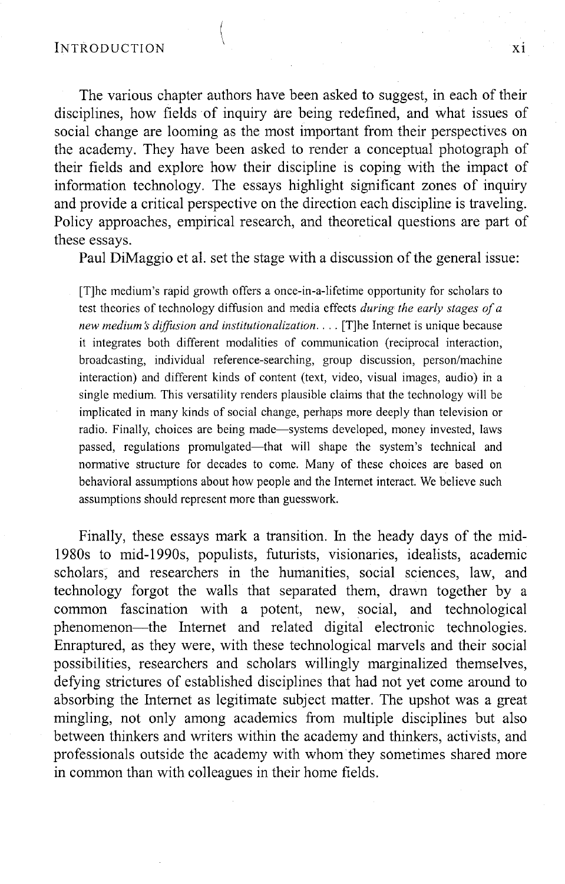The various chapter authors have been asked to suggest, in each of their disciplines, how fields of inquiry are being redefined, and what issues of social change are looming as the most important from their perspectives on the academy. They have been asked to render a conceptual photograph of their fields and explore how their discipline is coping with the impact of information technology. The essays highlight significant zones of inquiry and provide a critical perspective on the direction each discipline is traveling. Policy approaches, empirical research, and theoretical questions are part of these essays.

Paul DiMaggio et al. set the stage with a discussion of the general issue:

[T]he medium's rapid growth offers a once-in-a-lifetime opportunity for scholars to test theories of technology diffusion and media effects *during the early stages of a new medium* s *diffusion and institutionalization .* ... [T]he Internet is unique because it integrates both different modalities of communication (reciprocal interaction, broadcasting, individual reference-searching, group discussion, person/machine interaction) and different kinds of content (text, video, visual images, audio) in a single medium. This versatility renders plausible claims that the technology will be implicated in many kinds of social change, perhaps more deeply than television or radio. Finally, choices are being made-systems developed, money invested, laws passed, regulations promulgated—that will shape the system's technical and normative structure for decades to come. Many of these choices are based on behavioral assumptions about how people and the Internet interact. We believe such assumptions should represent more than guesswork.

Finally, these essays mark a transition. In the heady days of the mid-1980s to mid-1990s, populists, futurists, visionaries, idealists, academic scholars, and researchers in the humanities, social sciences, law, and technology forgot the walls that separated them, drawn together by a common fascination with a potent, new, social, and technological phenomenon-the Internet and related digital electronic technologies. Enraptured, as they were, with these technological marvels and their social possibilities, researchers and scholars willingly marginalized themselves, defying strictures of established disciplines that had not yet come around to absorbing the Internet as legitimate subject matter. The upshot was a great mingling, not only among academics from multiple disciplines but also between thinkers and writers within the academy and thinkers, activists, and professionals outside the academy with whom they sometimes shared more in common than with colleagues in their home fields.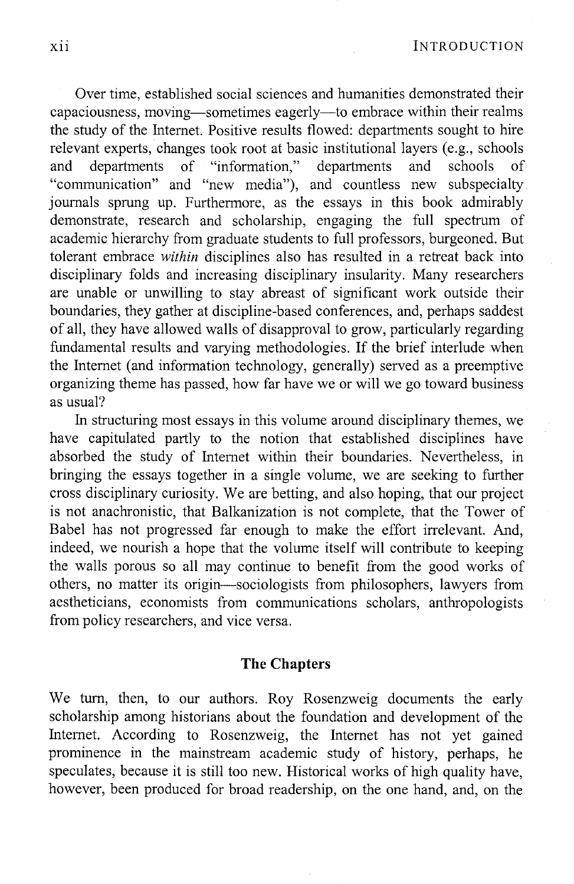Over time, established social sciences and humanities demonstrated their capaciousness, moving—sometimes eagerly—to embrace within their realms the study of the Internet. Positive results flowed: departments sought to hire relevant experts, changes took root at basic institutional layers (e.g., schools and departments of "information," departments and schools of "communication" and "new media"), and countless new subspecialty journals sprung up. Furthermore, as the essays in this book admirably demonstrate, research and scholarship, engaging the full spectrum of academic hierarchy from graduate students to full professors, burgeoned. But tolerant embrace *within* disciplines also has resulted in a retreat back into disciplinary folds and increasing disciplinary insularity. Many researchers are unable or unwilling to stay abreast of significant work outside their boundaries, they gather at discipline-based conferences, and, perhaps saddest of all, they have allowed walls of disapproval to grow, particularly regarding fundamental results and varying methodologies. **If** the brief interlude when the Internet (and information technology, generally) served as a preemptive organizing theme has passed, how far have we or will we go toward business as usual?

In structuring most essays in this volume around disciplinary themes, we have capitulated partly to the notion that established disciplines have absorbed the study of Internet within their boundaries. Nevertheless, in bringing the essays together in a single volume, we are seeking to further cross disciplinary curiosity. We are betting, and also hoping, that our project is not anachronistic, that Balkanization is not complete, that the Tower of Babel has not progressed far enough to make the effort irrelevant. And, indeed, we nourish a hope that the volume itself will contribute to keeping the walls porous so all may continue to benefit from the good works of others, no matter its origin-sociologists from philosophers, lawyers from aestheticians, economists from communications scholars, anthropologists from policy researchers, and vice versa.

### **The Chapters**

We tum, then, to our authors. Roy Rosenzweig documents the early scholarship among historians about the foundation and development of the Internet. According to Rosenzweig, the Internet has not yet gained prominence in the mainstream academic study of history, perhaps, he speculates, because it is still too new. Historical works of high quality have, however, been produced for broad readership, on the one hand, and, on the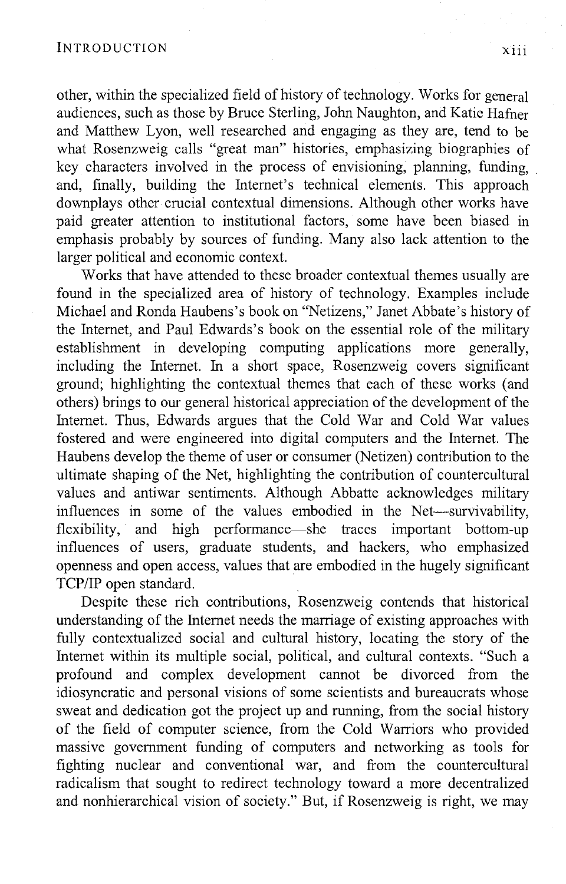other, within the specialized field of history of technology. Works for general audiences, such as those by Bruce Sterling, John Naughton, and Katie Hafner and Matthew Lyon, well researched and engaging as they are, tend to be what Rosenzweig calls "great man" histories, emphasizing biographies of key characters involved in the process of envisioning, planning, funding, and, finally, building the Internet's technical elements. This approach downplays other crucial contextual dimensions. Although other works have paid greater attention to institutional factors, some have been biased in emphasis probably by sources of funding. Many also lack attention to the larger political and economic context.

Works that have attended to these broader contextual themes usually are found in the specialized area of history of technology. Examples include Michael and Ronda Haubens's book on "Netizens," Janet Abbate's history of the Internet, and Paul Edwards's book on the essential role of the military establishment in developing computing applications more generally, including the Internet. In a short space, Rosenzweig covers significant ground; highlighting the contextual themes that each of these works (and others) brings to our general historical appreciation of the development of the Internet. Thus, Edwards argues that the Cold War and Cold War values fostered and were engineered into digital computers and the Internet. The Haubens develop the theme of user or consumer (Netizen) contribution to the ultimate shaping of the Net, highlighting the contribution of countercultural values and antiwar sentiments. Although Abbatte acknowledges military influences in some of the values embodied in the Net-survivability, flexibility, and high performance—she traces important bottom-up influences of users, graduate students, and hackers, who emphasized openness and open access, values that are embodied in the hugely significant TCP/IP open standard.

Despite these rich contributions, Rosenzweig contends that historical understanding of the Internet needs the marriage of existing approaches with fully contextualized social and cultural history, locating the story of the Internet within its multiple social, political, and cultural contexts. "Such a profound and complex development cannot be divorced from the idiosyncratic and personal visions of some scientists and bureaucrats whose sweat and dedication got the project up and running, from the social history of the field of computer science, from the Cold Warriors who provided massive government funding of computers and networking as tools for fighting nuclear and conventional war, and from the countercultural radicalism that sought to redirect technology toward a more decentralized and nonhierarchical vision of society." But, if Rosenzweig is right, we may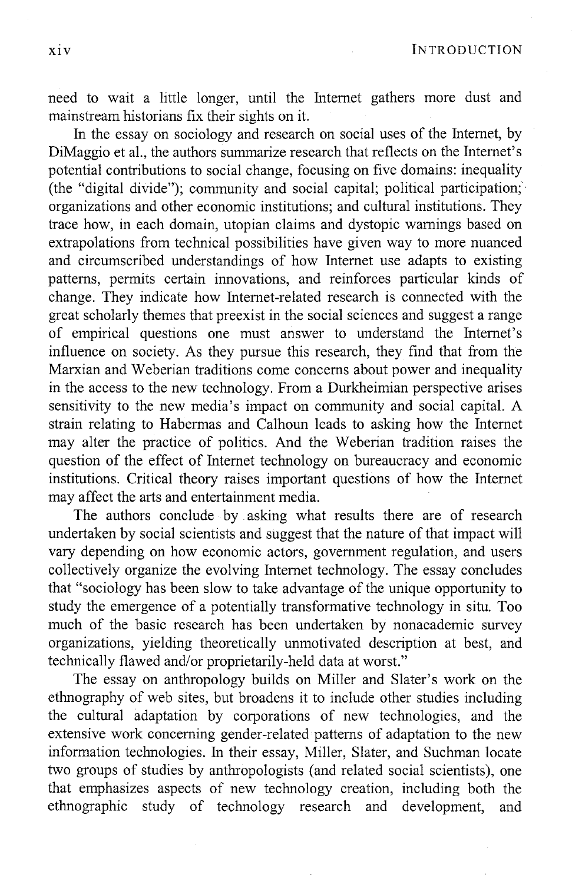xiv INTRODUCTION

need to wait a little longer, until the Internet gathers more dust and mainstream historians fix their sights on it.

In the essay on sociology and research on social uses of the Internet, by DiMaggio et aI., the authors summarize research that reflects on the Internet's potential contributions to social change, focusing on five domains: inequality (the "digital divide"); community and social capital; political participation;' organizations and other economic institutions; and cultural institutions. They trace how, in each domain, utopian claims and dystopic warnings based on extrapolations from technical possibilities have given way to more nuanced and circumscribed understandings of how Internet use adapts to existing patterns, permits certain innovations, and reinforces particular kinds of change. They indicate how Internet-related research is connected with the great scholarly themes that preexist in the social sciences and suggest a range of empirical questions one must answer to understand the Internet's influence on society. As they pursue this research, they find that from the Marxian and Weberian traditions come concerns about power and inequality in the access to the new technology. From a Durkheimian perspective arises sensitivity to the new media's impact on community and social capital. A strain relating to Habermas and Calhoun leads to asking how the Internet may alter the practice of politics. And the Weberian tradition raises the question of the effect of Internet technology on bureaucracy and economic institutions. Critical theory raises important questions of how the Internet may affect the arts and entertainment media.

The authors conclude by asking what results there are of research undertaken by social scientists and suggest that the nature of that impact will vary depending on how economic actors, government regulation, and users collectively organize the evolving Internet technology. The essay concludes that "sociology has been slow to take advantage of the unique opportunity to study the emergence of a potentially trans formative technology in situ. Too much of the basic research has been undertaken by nonacademic survey organizations, yielding theoretically unmotivated description at best, and technically flawed and/or proprietarily-held data at worst."

The essay on anthropology builds on Miller and Slater's work on the ethnography of web sites, but broadens it to include other studies including the cultural adaptation by corporations of new technologies, and the extensive work concerning gender-related patterns of adaptation to the new information technologies. In their essay, Miller, Slater, and Suchman locate two groups of studies by anthropologists (and related social scientists), one that emphasizes aspects of new technology creation, including both the ethnographic study of technology research and development, and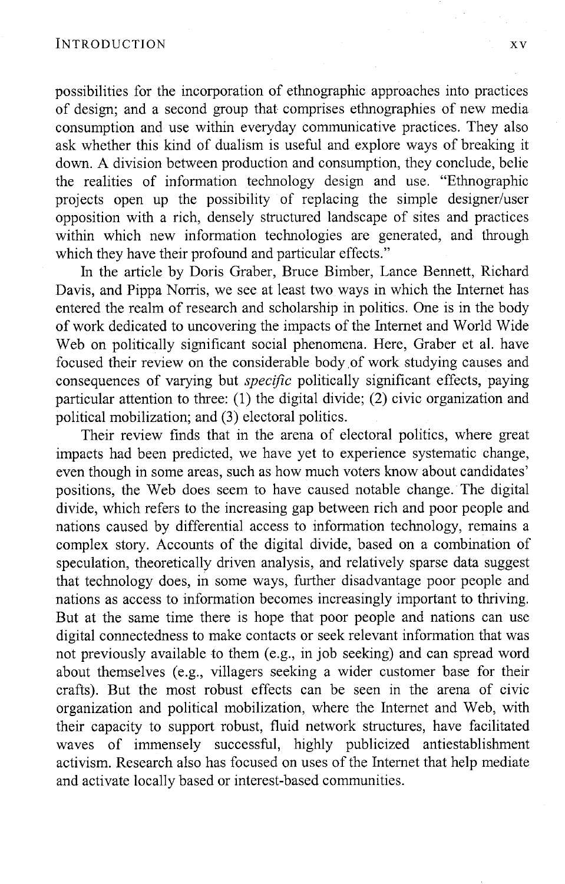possibilities for the incorporation of ethnographic approaches into practices of design; and a second group that comprises ethnographies of new media consumption and use within everyday communicative practices. They also ask whether this kind of dualism is useful and explore ways of breaking it down. A division between production and consumption, they conclude, belie the realities of information technology design and use. "Ethnographic projects open up the possibility of replacing the simple designer/user opposition with a rich, densely structured landscape of sites and practices within which new information technologies are generated, and through which they have their profound and particular effects."

In the article by Doris Graber, Bruce Bimber, Lance Bennett, Richard Davis, and Pippa Norris, we see at least two ways in which the Internet has entered the realm of research and scholarship in politics. One is in the body of work dedicated to uncovering the impacts of the Internet and World Wide Web on politically significant social phenomena. Here, Graber et al. have focused their review on the considerable body of work studying causes and consequences of varying but *specific* politically significant effects, paying particular attention to three: (1) the digital divide; (2) civic organization and political mobilization; and (3) electoral politics.

Their review finds that in the arena of electoral politics, where great impacts had been predicted, we have yet to experience systematic change, even though in some areas, such as how much voters know about candidates' positions, the Web does seem to have caused notable change. The digital divide, which refers to the increasing gap between rich and poor people and nations caused by differential access to information technology, remains a complex story. Accounts of the digital divide, based on a combination of speculation, theoretically driven analysis, and relatively sparse data suggest that technology does, in some ways, further disadvantage poor people and nations as access to information becomes increasingly important to thriving. But at the same time there is hope that poor people and nations can use digital connectedness to make contacts or seek relevant information that was not previously available to them (e.g., in job seeking) and can spread word about themselves (e.g., villagers seeking a wider customer base for their crafts). But the most robust effects can be seen in the arena of civic organization and political mobilization, where the Internet and Web, with their capacity to support robust, fluid network structures, have facilitated waves of immensely successful, highly publicized antiestablishment activism. Research also has focused on uses of the Internet that help mediate and activate locally based or interest-based communities.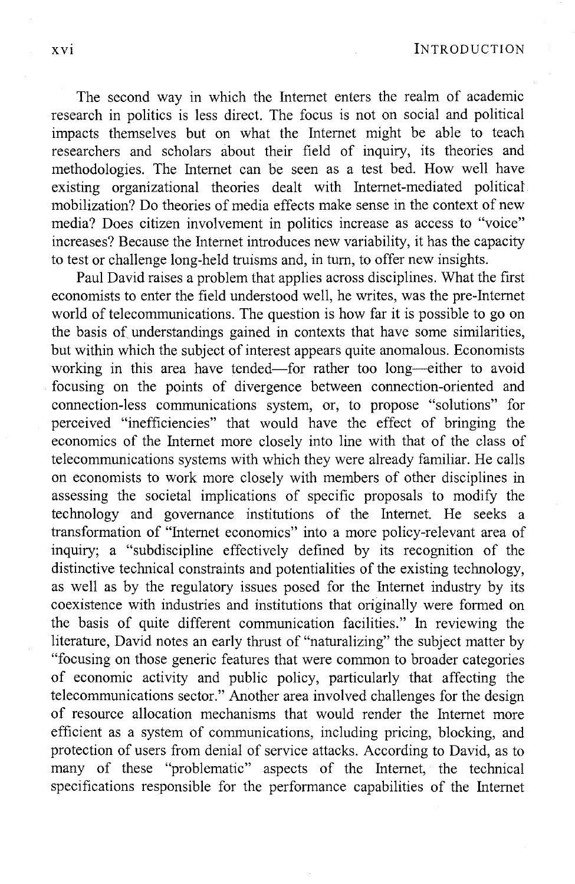XVI INTRODUCTION

The second way in which the Internet enters the realm of academic research in politics is less direct. The focus is not on social and political impacts themselves but on what the Internet might be able to teach researchers and scholars about their field of inquiry, its theories and methodologies. The Internet can be seen as a test bed. How well have existing organizational theories dealt with Internet-mediated political mobilization? Do theories of media effects make sense in the context of new media? Does citizen involvement in politics increase as access to "voice" increases? Because the Internet introduces new variability, it has the capacity to test or challenge long-held truisms and, in tum, to offer new insights.

Paul David raises a problem that applies across disciplines. What the first economists to enter the field understood well, he writes, was the pre-Internet world of telecommunications. The question is how far it is possible to go on the basis of understandings gained in contexts that have some similarities, but within which the subject of interest appears quite anomalous. Economists working in this area have tended—for rather too long—either to avoid focusing on the points of divergence between connection-oriented and connection-less communications system, or, to propose "solutions" for perceived "inefficiencies" that would have the effect of bringing the economics of the Internet more closely into line with that of the class of telecommunications systems with which they were already familiar. He calls on economists to work more closely with members of other disciplines in assessing the societal implications of specific proposals to modify the technology and governance institutions of the Internet. He seeks a transformation of "Internet economics" into a more policy-relevant area of inquiry; a "subdiscipline effectively defined by its recognition of the distinctive technical constraints and potentialities of the existing technology, as well as by the regulatory issues posed for the Internet industry by its coexistence with industries and institutions that originally were formed on the basis of quite different communication facilities." In reviewing the literature, David notes an early thrust of "naturalizing" the subject matter by "focusing on those generic features that were common to broader categories of economic activity and public policy, particularly that affecting the telecommunications sector." Another area involved challenges for the design of resource allocation mechanisms that would render the Internet more efficient as a system of communications, including pricing, blocking, and protection of users from denial of service attacks. According to David, as to many of these "problematic" aspects of the Internet, the technical specifications responsible for the performance capabilities of the Internet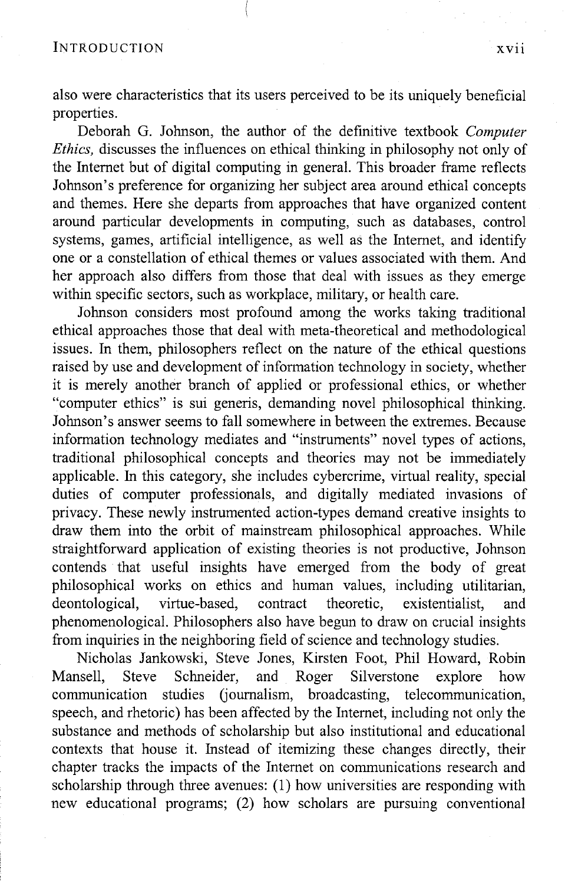also were characteristics that its users perceived to be its uniquely beneficial properties.

Deborah G. Johnson, the author of the definitive textbook *Computer Ethics*, discusses the influences on ethical thinking in philosophy not only of the Internet but of digital computing in general. This broader frame reflects Johnson's preference for organizing her subject area around ethical concepts and themes. Here she departs from approaches that have organized content around particular developments in computing, such as databases, control systems, games, artificial intelligence, as well as the Internet, and identify one or a constellation of ethical themes or values associated with them. And her approach also differs from those that deal with issues as they emerge within specific sectors, such as workplace, military, or health care.

Johnson considers most profound among the works taking traditional ethical approaches those that deal with meta-theoretical and methodological issues. In them, philosophers reflect on the nature of the ethical questions raised by use and development of information technology in society, whether it is merely another branch of applied or professional ethics, or whether "computer ethics" is sui generis, demanding novel philosophical thinking. Johnson's answer seems to fall somewhere in between the extremes. Because information technology mediates and "instruments" novel types of actions, traditional philosophical concepts and theories may not be immediately applicable. In this category, she includes cybercrime, virtual reality, special duties of computer professionals, and digitally mediated invasions of privacy. These newly instrumented action-types demand creative insights to draw them into the orbit of mainstream philosophical approaches. While straightforward application of existing theories is not productive, Johnson contends that useful insights have emerged from the body of great philosophical works on ethics and human values, including utilitarian, deontological, virtue-based, contract theoretic, existentialist, and phenomenological. Philosophers also have begun to draw on crucial insights from inquiries in the neighboring field of science and technology studies.

Nicholas Jankowski, Steve Jones, Kirsten Foot, **Phil** Howard, Robin Mansell, Steve Schneider, and Roger Silverstone explore how communication studies (journalism, broadcasting, telecommunication, speech, and rhetoric) has been affected by the Internet, including not only the substance and methods of scholarship but also institutional and educational contexts that house it. Instead of itemizing these changes directly, their chapter tracks the impacts of the Internet on communications research and scholarship through three avenues: (1) how universities are responding with new educational programs; (2) how scholars are pursuing conventional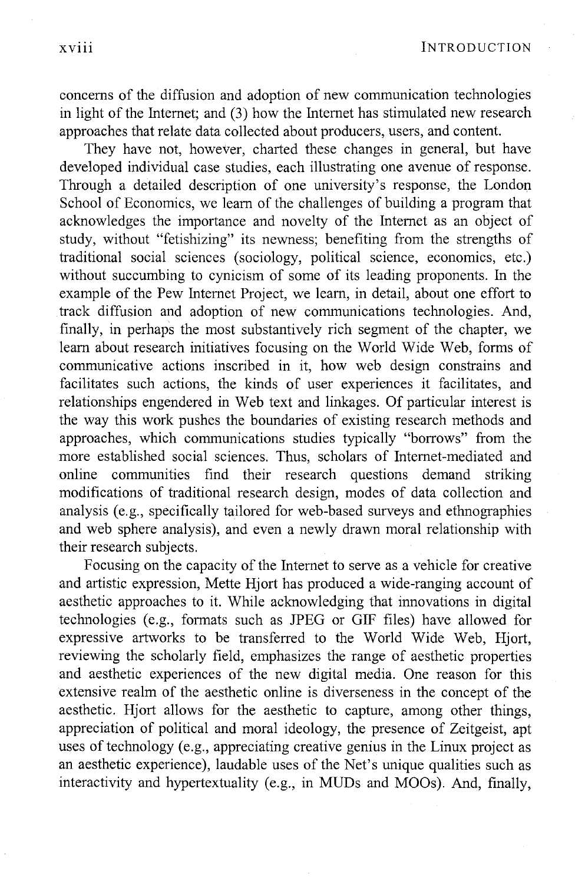concerns of the diffusion and adoption of new communication technologies in light of the Internet; and (3) how the Internet has stimulated new research approaches that relate data collected about producers, users, and content.

They have not, however, charted these changes in general, but have developed individual case studies, each illustrating one avenue of response. Through a detailed description of one university's response, the London School of Economics, we learn of the challenges of building a program that acknowledges the importance and novelty of the Internet as an object of study, without "fetishizing" its newness; benefiting from the strengths of traditional social sciences (sociology, political science, economics, etc.) without succumbing to cynicism of some of its leading proponents. In the example of the Pew Internet Project, we learn, in detail, about one effort to track diffusion and adoption of new communications technologies. And, finally, in perhaps the most substantively rich segment of the chapter, we learn about research initiatives focusing on the World Wide Web, forms of communicative actions inscribed in it, how web design constrains and facilitates such actions, the kinds of user experiences it facilitates, and relationships engendered in Web text and linkages. Of particular interest is the way this work pushes the boundaries of existing research methods and approaches, which communications studies typically "borrows" from the more established social sciences. Thus, scholars of Internet-mediated and online communities find their research questions demand striking modifications of traditional research design, modes of data collection and analysis (e.g., specifically tailored for web-based surveys and ethnographies and web sphere analysis), and even a newly drawn moral relationship with their research subjects.

Focusing on the capacity of the Internet to serve as a vehicle for creative and artistic expression, Mette Hjort has produced a wide-ranging account of aesthetic approaches to it. While acknowledging that innovations in digital technologies (e.g., formats such as JPEG or GIF files) have allowed for expressive artworks to be transferred to the World Wide Web, Hjort, reviewing the scholarly field, emphasizes the range of aesthetic properties and aesthetic experiences of the new digital media. One reason for this extensive realm of the aesthetic online is diverseness in the concept of the aesthetic. Hjort allows for the aesthetic to capture, among other things, appreciation of political and moral ideology, the presence of Zeitgeist, apt uses of technology (e.g., appreciating creative genius in the Linux project as an aesthetic experience), laudable uses of the Net's unique qualities such as interactivity and hypertextuality (e.g., in MUDs and MOOs). And, finally,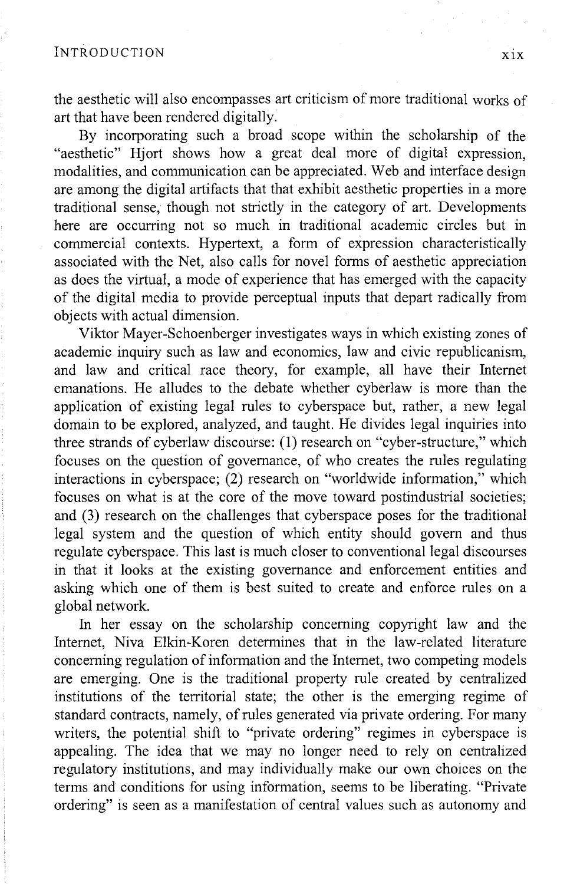the aesthetic will also encompasses art criticism of more traditional works of art that have been rendered digitally.

By incorporating such a broad scope within the scholarship of the "aesthetic" Hjort shows how a great deal more of digital expression, modalities, and communication can be appreciated. Web and interface design are among the digital artifacts that that exhibit aesthetic properties in a more traditional sense, though not strictly in the category of art. Developments here are occurring not so much in traditional academic circles but in commercial contexts. Hypertext, a form of expression characteristically associated with the Net, also calls for novel forms of aesthetic appreciation as does the virtual, a mode of experience that has emerged with the capacity of the digital media to provide perceptual inputs that depart radically from objects with actual dimension.

Viktor Mayer-Schoenberger investigates ways in which existing zones of academic inquiry such as law and economics, law and civic republicanism, and law and critical race theory, for example, all have their Internet emanations. He alludes to the debate whether cyberlaw is more than the application of existing legal rules to cyberspace but, rather, a new legal domain to be explored, analyzed, and taught. He divides legal inquiries into three strands of cyberlaw discourse: (1) research on "cyber-structure," which focuses on the question of governance, of who creates the rules regulating interactions in cyberspace; (2) research on "worldwide information," which focuses on what is at the core of the move toward postindustrial societies; and (3) research on the challenges that cyberspace poses for the traditional legal system and the question of which entity should govern and thus regulate cyberspace. This last is much closer to conventional legal discourses in that it looks at the existing governance and enforcement entities and asking which one of them is best suited to create and enforce rules on a global network.

In her essay on the scholarship concerning copyright law and the Internet, Niva Elkin-Koren determines that in the law-related literature concerning regulation of information and the Internet, two competing models are emerging. One is the traditional property rule created by centralized institutions of the territorial state; the other is the emerging regime of standard contracts, namely, of rules generated via private ordering. For many writers, the potential shift to "private ordering" regimes in cyberspace is appealing. The idea that we may no longer need to rely on centralized regulatory institutions, and may individually make our own choices on the terms and conditions for using information, seems to be liberating. "Private ordering" is seen as a manifestation of central values such as autonomy and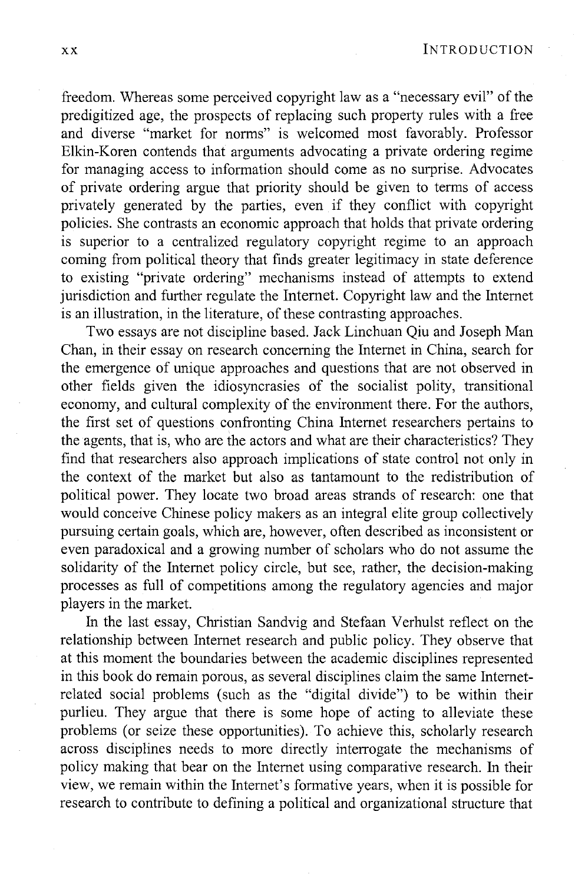freedom. Whereas some perceived copyright law as a "necessary evil" of the predigitized age, the prospects of replacing such property rules with a free and diverse "market for norms" is welcomed most favorably. Professor Elkin-Koren contends that arguments advocating a private ordering regime for managing access to information should come as no surprise. Advocates of private ordering argue that priority should be given to terms of access privately generated by the parties, even if they conflict with copyright policies. She contrasts an economic approach that holds that private ordering is superior to a centralized regulatory copyright regime to an approach coming from political theory that finds greater legitimacy in state deference to existing "private ordering" mechanisms instead of attempts to extend jurisdiction and further regulate the Internet. Copyright law and the Internet is an illustration, in the literature, of these contrasting approaches.

Two essays are not discipline based. Jack Linchuan Qiu and Joseph Man Chan, in their essay on research concerning the Internet in China, search for the emergence of unique approaches and questions that are not observed in other fields given the idiosyncrasies of the socialist polity, transitional economy, and cultural complexity of the environment there. For the authors, the first set of questions confronting China Internet researchers pertains to the agents, that is, who are the actors and what are their characteristics? They find that researchers also approach implications of state control not only in the context of the market but also as tantamount to the redistribution of political power. They locate two broad areas strands of research: one that would conceive Chinese policy makers as an integral elite group collectively pursuing certain goals, which are, however, often described as inconsistent or even paradoxical and a growing number of scholars who do not assume the solidarity of the Internet policy circle, but see, rather, the decision-making processes as full of competitions among the regulatory agencies and major players in the market.

In the last essay, Christian Sandvig and Stefaan Verhulst reflect on the relationship between Internet research and public policy. They observe that at this moment the boundaries between the academic disciplines represented in this book do remain porous, as several disciplines claim the same Internetrelated social problems (such as the "digital divide") to be within their purlieu. They argue that there is some hope of acting to alleviate these problems (or seize these opportunities). To achieve this, scholarly research across disciplines needs to more directly interrogate the mechanisms of policy making that bear on the Internet using comparative research. In their view, we remain within the Internet's formative years, when it is possible for research to contribute to defining a political and organizational structure that